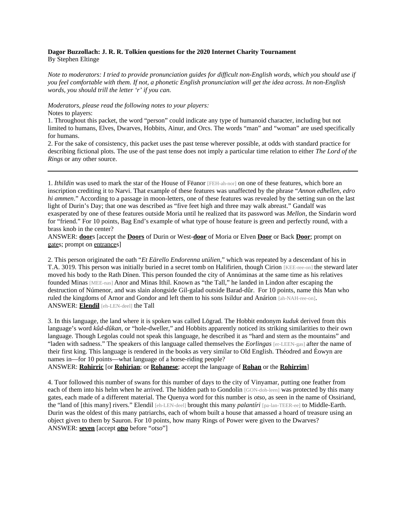## **Dagor Buzzollach: J. R. R. Tolkien questions for the 2020 Internet Charity Tournament** By Stephen Eltinge

*Note to moderators: I tried to provide pronunciation guides for difficult non-English words, which you should use if you feel comfortable with them. If not, a phonetic English pronunciation will get the idea across. In non-English words, you should trill the letter 'r' if you can.*

*Moderators, please read the following notes to your players:*

Notes to players:

1. Throughout this packet, the word "person" could indicate any type of humanoid character, including but not limited to humans, Elves, Dwarves, Hobbits, Ainur, and Orcs. The words "man" and "woman" are used specifically for humans.

2. For the sake of consistency, this packet uses the past tense wherever possible, at odds with standard practice for describing fictional plots. The use of the past tense does not imply a particular time relation to either *The Lord of the Rings* or any other source.

1. *Ithildin* was used to mark the star of the House of Fëanor [FEH-ah-nor] on one of these features, which bore an inscription crediting it to Narvi. That example of these features was unaffected by the phrase "*Annon edhellen, edro hi ammen*." According to a passage in moon-letters, one of these features was revealed by the setting sun on the last light of Durin's Day; that one was described as "five feet high and three may walk abreast." Gandalf was exasperated by one of these features outside Moria until he realized that its password was *Mellon*, the Sindarin word for "friend." For 10 points, Bag End's example of what type of house feature is green and perfectly round, with a brass knob in the center?

ANSWER: **door**s [accept the **Doors** of Durin or West-**door** of Moria or Elven **Door** or Back **Door**; prompt on gates; prompt on entrances]

2. This person originated the oath "*Et Eärello Endorenna utúlien*," which was repeated by a descendant of his in T.A. 3019. This person was initially buried in a secret tomb on Halifirien, though Cirion [KEE-ree-on] the steward later moved his body to the Rath Dínen. This person founded the city of Annúminas at the same time as his relatives founded Minas [MEE-nas] Anor and Minas Ithil. Known as "the Tall," he landed in Lindon after escaping the destruction of Númenor, and was slain alongside Gil-galad outside Barad-dûr. For 10 points, name this Man who ruled the kingdoms of Arnor and Gondor and left them to his sons Isildur and Anárion [ah-NAH-ree-on]. ANSWER: **Elendil** [eh-LEN-deel] the Tall

3. In this language, the land where it is spoken was called Lōgrad. The Hobbit endonym *kuduk* derived from this language's word *kûd-dûkan*, or "hole-dweller," and Hobbits apparently noticed its striking similarities to their own language. Though Legolas could not speak this language, he described it as "hard and stern as the mountains" and "laden with sadness." The speakers of this language called themselves the *Eorlingas* [er-LEEN-gas] after the name of their first king. This language is rendered in the books as very similar to Old English. Théodred and Éowyn are names in—for 10 points—what language of a horse-riding people?

ANSWER: **Rohirric** [or **Rohirian**; or **Rohanese**; accept the language of **Rohan** or the **Rohirrim**]

4. Tuor followed this number of swans for this number of days to the city of Vinyamar, putting one feather from each of them into his helm when he arrived. The hidden path to Gondolin [GON-doh-leen] was protected by this many gates, each made of a different material. The Quenya word for this number is *otso*, as seen in the name of Ossiriand, the "land of [this many] rivers." Elendil [eh-LEN-deel] brought this many *palantíri* [pa-lan-TEER-ee] to Middle-Earth. Durin was the oldest of this many patriarchs, each of whom built a house that amassed a hoard of treasure using an object given to them by Sauron. For 10 points, how many Rings of Power were given to the Dwarves? ANSWER: **seven** [accept *otso* before "*otso*"]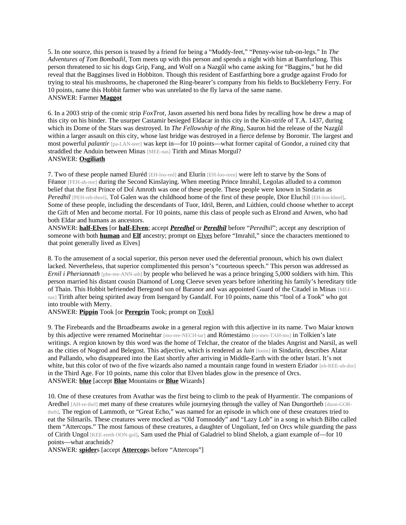5. In one source, this person is teased by a friend for being a "Muddy-feet," "Penny-wise tub-on-legs." In *The Adventures of Tom Bombadil*, Tom meets up with this person and spends a night with him at Bamfurlong. This person threatened to sic his dogs Grip, Fang, and Wolf on a Nazgûl who came asking for "Baggins," but he did reveal that the Bagginses lived in Hobbiton. Though this resident of Eastfarthing bore a grudge against Frodo for trying to steal his mushrooms, he chaperoned the Ring-bearer's company from his fields to Buckleberry Ferry. For 10 points, name this Hobbit farmer who was unrelated to the fly larva of the same name. ANSWER: Farmer **Maggot**

6. In a 2003 strip of the comic strip *FoxTrot*, Jason asserted his nerd bona fides by recalling how he drew a map of this city on his binder. The usurper Castamir besieged Eldacar in this city in the Kin-strife of T.A. 1437, during which its Dome of the Stars was destroyed. In *The Fellowship of the Ring*, Sauron hid the release of the Nazgûl within a larger assault on this city, whose last bridge was destroyed in a fierce defense by Boromir. The largest and most powerful *palantír* [pa-LAN-teer] was kept in—for 10 points—what former capital of Gondor, a ruined city that straddled the Anduin between Minas [MEE-nas] Tirith and Minas Morgul? ANSWER: **Osgiliath**

7. Two of these people named Eluréd [EH-loo-red] and Elurín [EH-loo-reen] were left to starve by the Sons of Fëanor [FEH-ah-nor] during the Second Kinslaving. When meeting Prince Imrahil, Legolas alluded to a common belief that the first Prince of Dol Amroth was one of these people. These people were known in Sindarin as *Peredhil* [PEH-reh-theel]. Tol Galen was the childhood home of the first of these people, Dior Eluchíl [EH-loo-kheel]. Some of these people, including the descendants of Tuor, Idril, Beren, and Lúthien, could choose whether to accept the Gift of Men and become mortal. For 10 points, name this class of people such as Elrond and Arwen, who had both Eldar and humans as ancestors.

ANSWER: **half-Elves** [or **half-Elven**; accept *Peredhel* or *Peredhil* before "*Peredhil*"; accept any description of someone with both **human** and **Elf** ancestry; prompt on Elves before "Imrahil," since the characters mentioned to that point generally lived as Elves]

8. To the amusement of a social superior, this person never used the deferential pronoun, which his own dialect lacked. Nevertheless, that superior complimented this person's "courteous speech." This person was addressed as *Ernil i Pheriannath* [phe-ree-ANN-ath] by people who believed he was a prince bringing 5,000 soldiers with him. This person married his distant cousin Diamond of Long Cleeve seven years before inheriting his family's hereditary title of Thain. This Hobbit befriended Beregond son of Baranor and was appointed Guard of the Citadel in Minas [MEEnas] Tirith after being spirited away from Isengard by Gandalf. For 10 points, name this "fool of a Took" who got into trouble with Merry.

ANSWER: **Pippin** Took [or **Peregrin** Took; prompt on Took]

9. The Firebeards and the Broadbeams awoke in a general region with this adjective in its name. Two Maiar known by this adjective were renamed Morinehtar [mo-ree-NECH-tar] and Rómestámo [ro-mes-TAH-mo] in Tolkien's late writings. A region known by this word was the home of Telchar, the creator of the blades Angrist and Narsil, as well as the cities of Nogrod and Belegost. This adjective, which is rendered as *luin* [looin] in Sindarin, describes Alatar and Pallando, who disappeared into the East shortly after arriving in Middle-Earth with the other Istari. It's not white, but this color of two of the five wizards also named a mountain range found in western Eriador [eh-REE-uh-dor] in the Third Age. For 10 points, name this color that Elven blades glow in the presence of Orcs. ANSWER: **blue** [accept **Blue** Mountains or **Blue** Wizards]

10. One of these creatures from Avathar was the first being to climb to the peak of Hyarmentir. The companions of Aredhel [AH-re-thel] met many of these creatures while journeying through the valley of Nan Dungortheb [doon-GORtheb]. The region of Lammoth, or "Great Echo," was named for an episode in which one of these creatures tried to eat the Silmarils. These creatures were mocked as "Old Tomnoddy" and "Lazy Lob" in a song in which Bilbo called them "Attercops." The most famous of these creatures, a daughter of Ungoliant, fed on Orcs while guarding the pass of Cirith Ungol [KEE-reeth OON-gol]. Sam used the Phial of Galadriel to blind Shelob, a giant example of—for 10 points—what arachnids?

ANSWER: **spider**s [accept **Attercop**s before "Attercops"]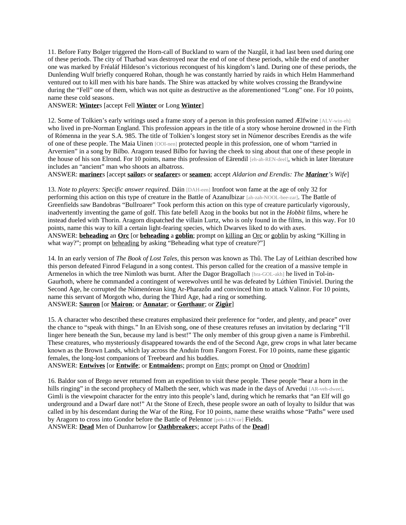11. Before Fatty Bolger triggered the Horn-call of Buckland to warn of the Nazgûl, it had last been used during one of these periods. The city of Tharbad was destroyed near the end of one of these periods, while the end of another one was marked by Fréaláf Hildeson's victorious reconquest of his kingdom's land. During one of these periods, the Dunlending Wulf briefly conquered Rohan, though he was constantly harried by raids in which Helm Hammerhand ventured out to kill men with his bare hands. The Shire was attacked by white wolves crossing the Brandywine during the "Fell" one of them, which was not quite as destructive as the aforementioned "Long" one. For 10 points, name these cold seasons.

ANSWER: **Winter**s [accept Fell **Winter** or Long **Winter**]

12. Some of Tolkien's early writings used a frame story of a person in this profession named Ælfwine [ALV-win-eh] who lived in pre-Norman England. This profession appears in the title of a story whose heroine drowned in the Firth of Rómenna in the year S.A. 985. The title of Tolkien's longest story set in Númenor describes Erendis as the wife of one of these people. The Maia Uinen [OOI-nen] protected people in this profession, one of whom "tarried in Arvernien" in a song by Bilbo. Aragorn teased Bilbo for having the cheek to sing about that one of these people in the house of his son Elrond. For 10 points, name this profession of Eärendil [eh-ah-REN-deel], which in later literature includes an "ancient" man who shoots an albatross.

ANSWER: **mariner**s [accept **sailor**s or **seafarer**s or **seamen**; accept *Aldarion and Erendis: The Mariner's Wife*]

13. *Note to players: Specific answer required.* Dáin [DAH-een] Ironfoot won fame at the age of only 32 for performing this action on this type of creature in the Battle of Azanulbizar [ah-zah-NOOL-bee-zar]. The Battle of Greenfields saw Bandobras "Bullroarer" Took perform this action on this type of creature particularly vigorously, inadvertently inventing the game of golf. This fate befell Azog in the books but not in the *Hobbit* films, where he instead dueled with Thorin. Aragorn dispatched the villain Lurtz, who is only found in the films, in this way. For 10 points, name this way to kill a certain light-fearing species, which Dwarves liked to do with axes. ANSWER: **beheading** an **Orc** [or **beheading** a **goblin**; prompt on killing an Orc or goblin by asking "Killing in what way?"; prompt on beheading by asking "Beheading what type of creature?"]

14. In an early version of *The Book of Lost Tales*, this person was known as Thû. The Lay of Leithian described how this person defeated Finrod Felagund in a song contest. This person called for the creation of a massive temple in Armenelos in which the tree Nimloth was burnt. After the Dagor Bragollach [bra-GOL-akh] he lived in Tol-in-Gaurhoth, where he commanded a contingent of werewolves until he was defeated by Lúthien Tinúviel. During the Second Age, he corrupted the Númenórean king Ar-Pharazôn and convinced him to attack Valinor. For 10 points, name this servant of Morgoth who, during the Third Age, had a ring or something. ANSWER: **Sauron** [or **Mairon**; or **Annatar**; or **Gorthaur**; or **Zigûr**]

15. A character who described these creatures emphasized their preference for "order, and plenty, and peace" over the chance to "speak with things." In an Elvish song, one of these creatures refuses an invitation by declaring "I'll linger here beneath the Sun, because my land is best!" The only member of this group given a name is Fimbrethil. These creatures, who mysteriously disappeared towards the end of the Second Age, grew crops in what later became known as the Brown Lands, which lay across the Anduin from Fangorn Forest. For 10 points, name these gigantic females, the long-lost companions of Treebeard and his buddies.

ANSWER: **Entwives** [or **Entwife**; or **Entmaiden**s; prompt on Ents; prompt on Onod or Onodrim]

16. Baldor son of Brego never returned from an expedition to visit these people. These people "hear a horn in the hills ringing" in the second prophecy of Malbeth the seer, which was made in the days of Arvedui [AR-veh-dwee]. Gimli is the viewpoint character for the entry into this people's land, during which he remarks that "an Elf will go underground and a Dwarf dare not!" At the Stone of Erech, these people swore an oath of loyalty to Isildur that was called in by his descendant during the War of the Ring. For 10 points, name these wraiths whose "Paths" were used by Aragorn to cross into Gondor before the Battle of Pelennor [peh-LEN-or] Fields. ANSWER: **Dead** Men of Dunharrow [or **Oathbreaker**s; accept Paths of the **Dead**]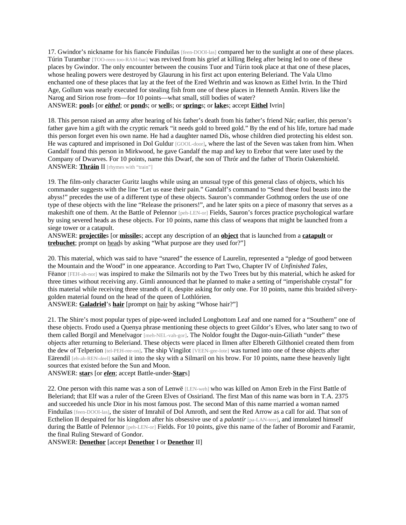17. Gwindor's nickname for his fiancée Finduilas [feen-DOOI-las] compared her to the sunlight at one of these places. Túrin Turambar [TOO-reen too-RAM-bar] was revived from his grief at killing Beleg after being led to one of these places by Gwindor. The only encounter between the cousins Tuor and Túrin took place at that one of these places, whose healing powers were destroyed by Glaurung in his first act upon entering Beleriand. The Vala Ulmo enchanted one of these places that lay at the feet of the Ered Wethrin and was known as Eithel Ivrin. In the Third Age, Gollum was nearly executed for stealing fish from one of these places in Henneth Annûn. Rivers like the Narog and Sirion rose from—for 10 points—what small, still bodies of water? ANSWER: **pool**s [or *eithel*; or **pond**s; or **well**s; or **spring**s; or **lake**s; accept **Eithel** Ivrin]

18. This person raised an army after hearing of his father's death from his father's friend Nár; earlier, this person's father gave him a gift with the cryptic remark "it needs gold to breed gold." By the end of his life, torture had made this person forget even his own name. He had a daughter named Dís, whose children died protecting his eldest son. He was captured and imprisoned in Dol Guldur [GOOL-door], where the last of the Seven was taken from him. When Gandalf found this person in Mirkwood, he gave Gandalf the map and key to Erebor that were later used by the Company of Dwarves. For 10 points, name this Dwarf, the son of Thrór and the father of Thorin Oakenshield. ANSWER: Thráin II [rhymes with "train"]

19. The film-only character Guritz laughs while using an unusual type of this general class of objects, which his commander suggests with the line "Let us ease their pain." Gandalf's command to "Send these foul beasts into the abyss!" precedes the use of a different type of these objects. Sauron's commander Gothmog orders the use of one type of these objects with the line "Release the prisoners!", and he later spits on a piece of masonry that serves as a makeshift one of them. At the Battle of Pelennor [peh-LEN-or] Fields, Sauron's forces practice psychological warfare by using severed heads as these objects. For 10 points, name this class of weapons that might be launched from a siege tower or a catapult.

ANSWER: **projectile**s [or **missile**s; accept any description of an **object** that is launched from a **catapult** or **trebuchet**; prompt on heads by asking "What purpose are they used for?"]

20. This material, which was said to have "snared" the essence of Laurelin, represented a "pledge of good between the Mountain and the Wood" in one appearance. According to Part Two, Chapter IV of *Unfinished Tales*, Fëanor [FEH-ah-nor] was inspired to make the Silmarils not by the Two Trees but by this material, which he asked for three times without receiving any. Gimli announced that he planned to make a setting of "imperishable crystal" for this material while receiving three strands of it, despite asking for only one. For 10 points, name this braided silverygolden material found on the head of the queen of Lothlórien.

ANSWER: **Galadriel**'s **hair** [prompt on hair by asking "Whose hair?"]

21. The Shire's most popular types of pipe-weed included Longbottom Leaf and one named for a "Southern" one of these objects. Frodo used a Quenya phrase mentioning these objects to greet Gildor's Elves, who later sang to two of them called Borgil and Menelvagor [meh-NEL-vah-gor]. The Noldor fought the Dagor-nuin-Giliath "under" these objects after returning to Beleriand. These objects were placed in Ilmen after Elbereth Gilthoniel created them from the dew of Telperion [tel-PEH-ree-on]. The ship Vingilot [VEEN-gee-lote] was turned into one of these objects after Eärendil [eh-ah-REN-deel] sailed it into the sky with a Silmaril on his brow. For 10 points, name these heavenly light sources that existed before the Sun and Moon.

ANSWER: **star**s [or *elen*; accept Battle-under-**Star**s]

22. One person with this name was a son of Lenwë [LEN-weh] who was killed on Amon Ereb in the First Battle of Beleriand; that Elf was a ruler of the Green Elves of Ossiriand. The first Man of this name was born in T.A. 2375 and succeeded his uncle Dior in his most famous post. The second Man of this name married a woman named Finduilas [feen-DOOI-las], the sister of Imrahil of Dol Amroth, and sent the Red Arrow as a call for aid. That son of Ecthelion II despaired for his kingdom after his obsessive use of a *palantír* [pa-LAN-teer], and immolated himself during the Battle of Pelennor [peh-LEN-or] Fields. For 10 points, give this name of the father of Boromir and Faramir, the final Ruling Steward of Gondor.

ANSWER: **Denethor** [accept **Denethor** I or **Denethor** II]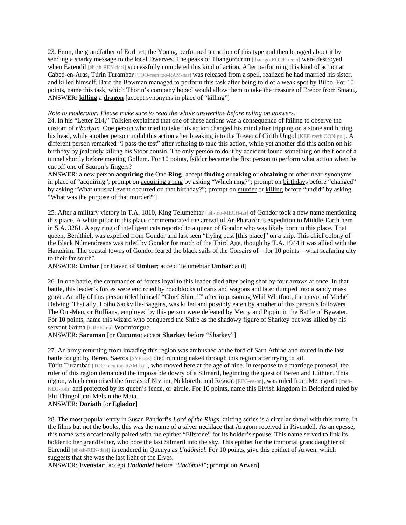23. Fram, the grandfather of Eorl [erl] the Young, performed an action of this type and then bragged about it by sending a snarky message to the local Dwarves. The peaks of Thangorodrim [than-go-RODE-reem] were destroyed when Eärendil [eh-ah-REN-deel] successfully completed this kind of action. After performing this kind of action at Cabed-en-Aras, Túrin Turambar [TOO-reen too-RAM-bar] was released from a spell, realized he had married his sister, and killed himself. Bard the Bowman managed to perform this task after being told of a weak spot by Bilbo. For 10 points, name this task, which Thorin's company hoped would allow them to take the treasure of Erebor from Smaug. ANSWER: **killing** a **dragon** [accept synonyms in place of "killing"]

## *Note to moderator: Please make sure to read the whole answerline before ruling on answers.*

24. In his "Letter 214," Tolkien explained that one of these actions was a consequence of failing to observe the custom of *ribadyan*. One person who tried to take this action changed his mind after tripping on a stone and hitting his head, while another person undid this action after breaking into the Tower of Cirith Ungol [KEE-reeth OON-gol]. A different person remarked "I pass the test" after refusing to take this action, while yet another did this action on his birthday by jealously killing his Stoor cousin. The only person to do it by accident found something on the floor of a tunnel shortly before meeting Gollum. For 10 points, Isildur became the first person to perform what action when he cut off one of Sauron's fingers?

ANSWER: a new person **acquiring the** One **Ring** [accept **finding** or **taking** or **obtaining** or other near-synonyms in place of "acquiring"; prompt on acquiring a ring by asking "Which ring?"; prompt on birthdays before "changed" by asking "What unusual event occurred on that birthday?"; prompt on murder or killing before "undid" by asking "What was the purpose of that murder?"]

25. After a military victory in T.A. 1810, King Telumehtar [teh-loo-MECH-tar] of Gondor took a new name mentioning this place. A white pillar in this place commemorated the arrival of Ar-Pharazôn's expedition to Middle-Earth here in S.A. 3261. A spy ring of intelligent cats reported to a queen of Gondor who was likely born in this place. That queen, Berúthiel, was expelled from Gondor and last seen "flying past [this place]" on a ship. This chief colony of the Black Númenóreans was ruled by Gondor for much of the Third Age, though by T.A. 1944 it was allied with the Haradrim. The coastal towns of Gondor feared the black sails of the Corsairs of—for 10 points—what seafaring city to their far south?

## ANSWER: **Umbar** [or Haven of **Umbar**; accept Telumehtar **Umbar**dacil]

26. In one battle, the commander of forces loyal to this leader died after being shot by four arrows at once. In that battle, this leader's forces were encircled by roadblocks of carts and wagons and later dumped into a sandy mass grave. An ally of this person titled himself "Chief Shirriff" after imprisoning Whil Whitfoot, the mayor of Michel Delving. That ally, Lotho Sackville-Baggins, was killed and possibly eaten by another of this person's followers. The Orc-Men, or Ruffians, employed by this person were defeated by Merry and Pippin in the Battle of Bywater. For 10 points, name this wizard who conquered the Shire as the shadowy figure of Sharkey but was killed by his servant Grima [GREE-ma] Wormtongue.

ANSWER: **Saruman** [or **Curumo**; accept **Sharkey** before "Sharkey"]

27. An army returning from invading this region was ambushed at the ford of Sarn Athrad and routed in the last battle fought by Beren. Saeros [SYE-ros] died running naked through this region after trying to kill Túrin Turambar [TOO-reen too-RAM-bar], who moved here at the age of nine. In response to a marriage proposal, the ruler of this region demanded the impossible dowry of a Silmaril, beginning the quest of Beren and Lúthien. This region, which comprised the forests of Nivrim, Neldoreth, and Region [REG-ee-on], was ruled from Menegroth [meh-NEG-roth] and protected by its queen's fence, or girdle. For 10 points, name this Elvish kingdom in Beleriand ruled by Elu Thingol and Melian the Maia.

## ANSWER: **Doriath** [or **Eglador**]

28. The most popular entry in Susan Pandorf's *Lord of the Rings* knitting series is a circular shawl with this name. In the films but not the books, this was the name of a silver necklace that Aragorn received in Rivendell. As an epessë, this name was occasionally paired with the epithet "Elfstone" for its holder's spouse. This name served to link its holder to her grandfather, who bore the last Silmaril into the sky. This epithet for the immortal granddaughter of Eärendil [eh-ah-REN-deel] is rendered in Quenya as *Undómiel*. For 10 points, give this epithet of Arwen, which suggests that she was the last light of the Elves.

ANSWER: **Evenstar** [accept *Undómiel* before "*Undómiel*"; prompt on Arwen]